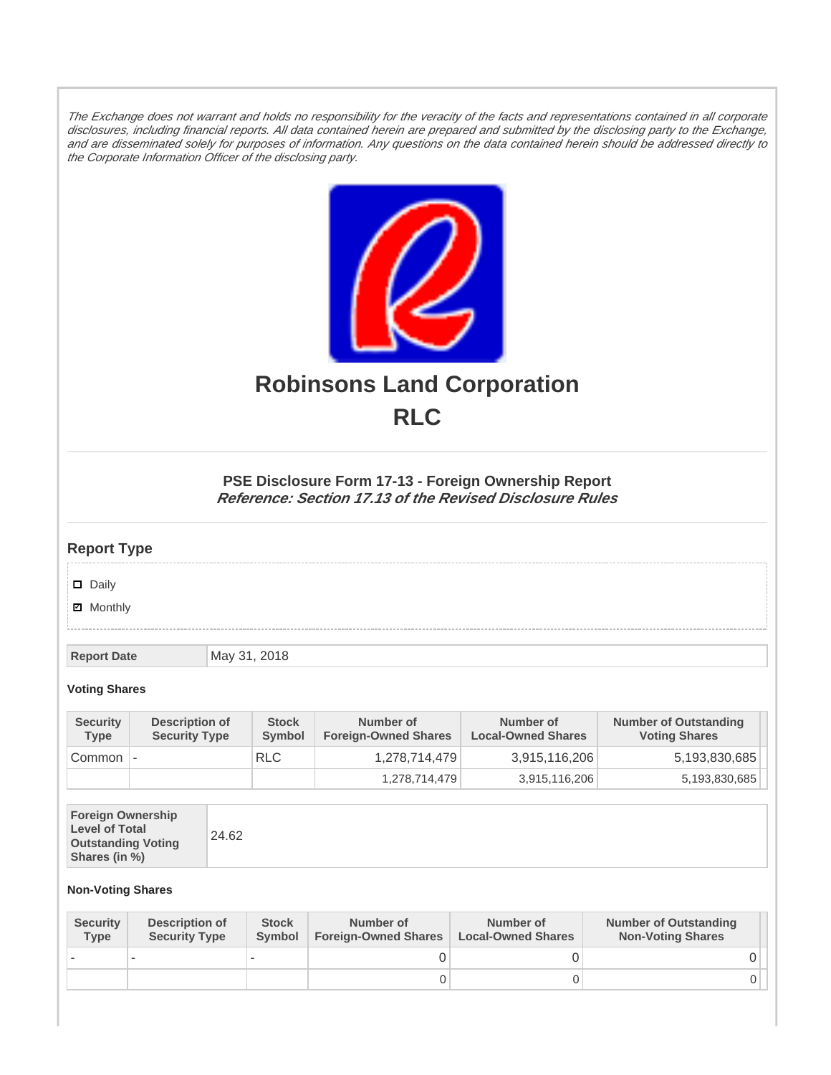The Exchange does not warrant and holds no responsibility for the veracity of the facts and representations contained in all corporate disclosures, including financial reports. All data contained herein are prepared and submitted by the disclosing party to the Exchange, and are disseminated solely for purposes of information. Any questions on the data contained herein should be addressed directly to the Corporate Information Officer of the disclosing party.



# **Robinsons Land Corporation RLC**

## **PSE Disclosure Form 17-13 - Foreign Ownership Report Reference: Section 17.13 of the Revised Disclosure Rules**

## **Report Type**

Daily

**Ø** Monthly

**Report Date** May 31, 2018

#### **Voting Shares**

| <b>Security</b><br><b>Type</b> | Description of<br><b>Security Type</b> | <b>Stock</b><br>Symbol | Number of<br><b>Foreign-Owned Shares</b> | Number of<br><b>Local-Owned Shares</b> | <b>Number of Outstanding</b><br><b>Voting Shares</b> |
|--------------------------------|----------------------------------------|------------------------|------------------------------------------|----------------------------------------|------------------------------------------------------|
| Common                         |                                        | <b>RLC</b>             | 1,278,714,479                            | 3,915,116,206                          | 5,193,830,685                                        |
|                                |                                        |                        | 1,278,714,479                            | 3,915,116,206                          | 5,193,830,685                                        |

| <b>Foreign Ownership</b><br><b>Level of Total</b><br><b>Outstanding Voting</b><br>Shares (in %) |
|-------------------------------------------------------------------------------------------------|
|-------------------------------------------------------------------------------------------------|

### **Non-Voting Shares**

| <b>Security</b><br><b>Type</b> | Description of<br><b>Security Type</b> | <b>Stock</b><br><b>Symbol</b> | Number of<br><b>Foreign-Owned Shares</b> | Number of<br><b>Local-Owned Shares</b> | <b>Number of Outstanding</b><br><b>Non-Voting Shares</b> |
|--------------------------------|----------------------------------------|-------------------------------|------------------------------------------|----------------------------------------|----------------------------------------------------------|
|                                |                                        |                               |                                          |                                        |                                                          |
|                                |                                        |                               | O                                        |                                        |                                                          |